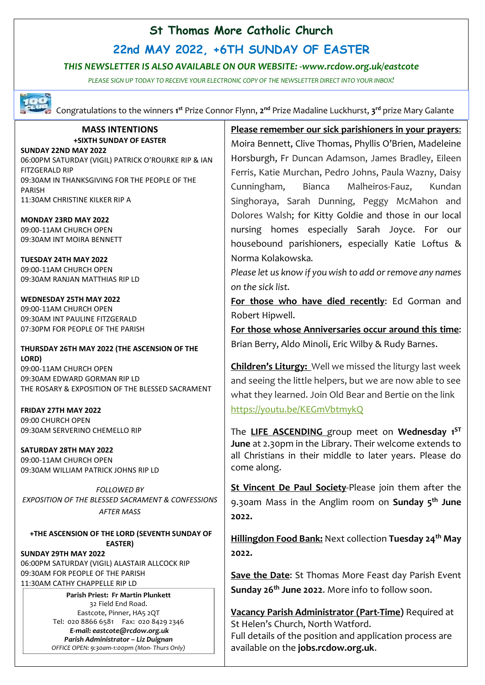## **St Thomas More Catholic Church**

**22nd MAY 2022, +6TH SUNDAY OF EASTER**

### *THIS NEWSLETTER IS ALSO AVAILABLE ON OUR WEBSITE: -www.rcdow.org.uk/eastcote*

*PLEASE SIGN UP TODAY TO RECEIVE YOUR ELECTRONIC COPY OF THE NEWSLETTER DIRECT INTO YOUR INBOX!*



Congratulations to the winners 1<sup>st</sup> Prize Connor Flynn, 2<sup>nd</sup> Prize Madaline Luckhurst, 3<sup>rd</sup> prize Mary Galante

#### **MASS INTENTIONS +SIXTH SUNDAY OF EASTER**

**SUNDAY 22ND MAY 2022** 06:00PM SATURDAY (VIGIL) PATRICK O'ROURKE RIP & IAN FITZGERALD RIP 09:30AM IN THANKSGIVING FOR THE PEOPLE OF THE PARISH

11:30AM CHRISTINE KILKER RIP A

**MONDAY 23RD MAY 2022** 09:00-11AM CHURCH OPEN 09:30AM INT MOIRA BENNETT

**TUESDAY 24TH MAY 2022** 09:00-11AM CHURCH OPEN 09:30AM RANJAN MATTHIAS RIP LD

**WEDNESDAY 25TH MAY 2022** 09:00-11AM CHURCH OPEN 09:30AM INT PAULINE FITZGERALD 07:30PM FOR PEOPLE OF THE PARISH

### **THURSDAY 26TH MAY 2022 (THE ASCENSION OF THE LORD)**

09:00-11AM CHURCH OPEN 09:30AM EDWARD GORMAN RIP LD THE ROSARY & EXPOSITION OF THE BLESSED SACRAMENT

**FRIDAY 27TH MAY 2022** 09:00 CHURCH OPEN 09:30AM SERVERINO CHEMELLO RIP

**SATURDAY 28TH MAY 2022** 09:00-11AM CHURCH OPEN 09:30AM WILLIAM PATRICK JOHNS RIP LD

*FOLLOWED BY EXPOSITION OF THE BLESSED SACRAMENT & CONFESSIONS AFTER MASS*

**+THE ASCENSION OF THE LORD (SEVENTH SUNDAY OF EASTER)**

**SUNDAY 29TH MAY 2022** 06:00PM SATURDAY (VIGIL) ALASTAIR ALLCOCK RIP 09:30AM FOR PEOPLE OF THE PARISH 11:30AM CATHY CHAPPELLE RIP LD

> **Parish Priest: Fr Martin Plunkett**  32 Field End Road. Eastcote, Pinner, HA5 2QT Tel: 020 8866 6581 Fax: 020 8429 2346 *E-mail: eastcote@rcdow.org.uk Parish Administrator – Liz Duignan OFFICE OPEN: 9:30am-1:00pm (Mon- Thurs Only)*

**Please remember our sick parishioners in your prayers**: Moira Bennett, Clive Thomas, Phyllis O'Brien, Madeleine Horsburgh, Fr Duncan Adamson, James Bradley, Eileen Ferris, Katie Murchan, Pedro Johns, Paula Wazny, Daisy Cunningham, Bianca Malheiros-Fauz, Kundan Singhoraya, Sarah Dunning, Peggy McMahon and Dolores Walsh; for Kitty Goldie and those in our local nursing homes especially Sarah Joyce. For our housebound parishioners, especially Katie Loftus & Norma Kolakowska*.*

*Please let us know if you wish to add or remove any names on the sick list.*

**For those who have died recently**: Ed Gorman and Robert Hipwell.

**For those whose Anniversaries occur around this time**: Brian Berry, Aldo Minoli, Eric Wilby & Rudy Barnes.

**Children's Liturgy:** Well we missed the liturgy last week and seeing the little helpers, but we are now able to see what they learned. Join Old Bear and Bertie on the link <https://youtu.be/KEGmVbtmykQ>

The **LIFE ASCENDING** group meet on **Wednesday 1 ST June** at 2.30pm in the Library. Their welcome extends to all Christians in their middle to later years. Please do come along.

**St Vincent De Paul Society**-Please join them after the 9.30am Mass in the Anglim room on **Sunday 5 th June 2022.**

**Hillingdon Food Bank:** Next collection **Tuesday 24th May 2022.**

**Save the Date**: St Thomas More Feast day Parish Event **Sunday 26th June 2022**. More info to follow soon.

**Vacancy Parish Administrator (Part-Time)** Required at St Helen's Church, North Watford. Full details of the position and application process are available on the **jobs.rcdow.org.uk**.